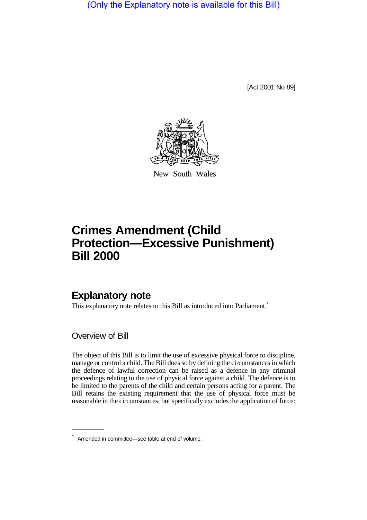(Only the Explanatory note is available for this Bill)

[Act 2001 No 89]



New South Wales

## **Crimes Amendment (Child Protection—Excessive Punishment) Bill 2000**

## **Explanatory note**

This explanatory note relates to this Bill as introduced into Parliament.<sup>\*</sup>

Overview of Bill

The object of this Bill is to limit the use of excessive physical force to discipline, manage or control a child. The Bill does so by defining the circumstances in which the defence of lawful correction can be raised as a defence in any criminal proceedings relating to the use of physical force against a child. The defence is to be limited to the parents of the child and certain persons acting for a parent. The Bill retains the existing requirement that the use of physical force must be reasonable in the circumstances, but specifically excludes the application of force:

<sup>\*</sup> Amended in committee—see table at end of volume.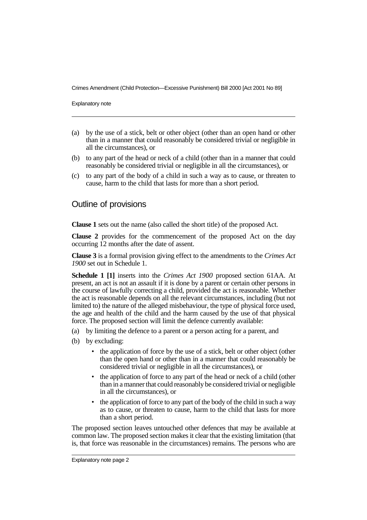Crimes Amendment (Child Protection—Excessive Punishment) Bill 2000 [Act 2001 No 89]

Explanatory note

- (a) by the use of a stick, belt or other object (other than an open hand or other than in a manner that could reasonably be considered trivial or negligible in all the circumstances), or
- (b) to any part of the head or neck of a child (other than in a manner that could reasonably be considered trivial or negligible in all the circumstances), or
- (c) to any part of the body of a child in such a way as to cause, or threaten to cause, harm to the child that lasts for more than a short period.

## Outline of provisions

**Clause 1** sets out the name (also called the short title) of the proposed Act.

**Clause 2** provides for the commencement of the proposed Act on the day occurring 12 months after the date of assent.

**Clause 3** is a formal provision giving effect to the amendments to the *Crimes Act 1900* set out in Schedule 1.

**Schedule 1 [1]** inserts into the *Crimes Act 1900* proposed section 61AA. At present, an act is not an assault if it is done by a parent or certain other persons in the course of lawfully correcting a child, provided the act is reasonable. Whether the act is reasonable depends on all the relevant circumstances, including (but not limited to) the nature of the alleged misbehaviour, the type of physical force used, the age and health of the child and the harm caused by the use of that physical force. The proposed section will limit the defence currently available:

- (a) by limiting the defence to a parent or a person acting for a parent, and
- (b) by excluding:
	- the application of force by the use of a stick, belt or other object (other than the open hand or other than in a manner that could reasonably be considered trivial or negligible in all the circumstances), or
	- the application of force to any part of the head or neck of a child (other than in a manner that could reasonably be considered trivial or negligible in all the circumstances), or
	- the application of force to any part of the body of the child in such a way as to cause, or threaten to cause, harm to the child that lasts for more than a short period.

The proposed section leaves untouched other defences that may be available at common law. The proposed section makes it clear that the existing limitation (that is, that force was reasonable in the circumstances) remains. The persons who are

Explanatory note page 2